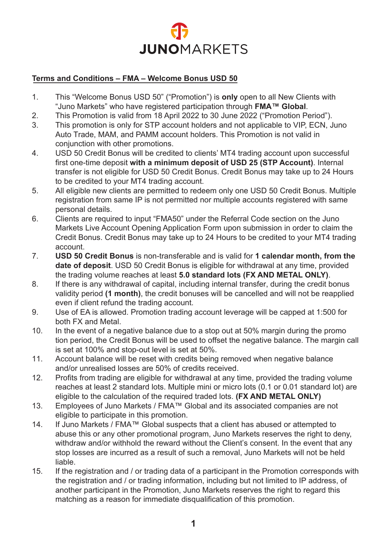

## **Terms and Conditions – FMA – Welcome Bonus USD 50**

- 1. This "Welcome Bonus USD 50" ("Promotion") is **only** open to all New Clients with "Juno Markets" who have registered participation through **FMA™ Global**.
- 2. This Promotion is valid from 18 April 2022 to 30 June 2022 ("Promotion Period").
- 3. This promotion is only for STP account holders and not applicable to VIP, ECN, Juno Auto Trade, MAM, and PAMM account holders. This Promotion is not valid in conjunction with other promotions.
- 4. USD 50 Credit Bonus will be credited to clients' MT4 trading account upon successful first one-time deposit **with a minimum deposit of USD 25 (STP Account)**. Internal transfer is not eligible for USD 50 Credit Bonus. Credit Bonus may take up to 24 Hours to be credited to your MT4 trading account.
- 5. All eligible new clients are permitted to redeem only one USD 50 Credit Bonus. Multiple registration from same IP is not permitted nor multiple accounts registered with same personal details.
- 6. Clients are required to input "FMA50" under the Referral Code section on the Juno Markets Live Account Opening Application Form upon submission in order to claim the Credit Bonus. Credit Bonus may take up to 24 Hours to be credited to your MT4 trading account.
- 7. **USD 50 Credit Bonus** is non-transferable and is valid for **1 calendar month, from the date of deposit**. USD 50 Credit Bonus is eligible for withdrawal at any time, provided the trading volume reaches at least **5.0 standard lots (FX AND METAL ONLY)**.
- 8. If there is any withdrawal of capital, including internal transfer, during the credit bonus validity period **(1 month)**, the credit bonuses will be cancelled and will not be reapplied even if client refund the trading account.
- 9. Use of EA is allowed. Promotion trading account leverage will be capped at 1:500 for both FX and Metal.
- 10. In the event of a negative balance due to a stop out at 50% margin during the promo tion period, the Credit Bonus will be used to offset the negative balance. The margin call is set at 100% and stop-out level is set at 50%.
- 11. Account balance will be reset with credits being removed when negative balance and/or unrealised losses are 50% of credits received.
- 12. Profits from trading are eligible for withdrawal at any time, provided the trading volume reaches at least 2 standard lots. Multiple mini or micro lots (0.1 or 0.01 standard lot) are eligible to the calculation of the required traded lots. **(FX AND METAL ONLY)**
- 13. Employees of Juno Markets / FMA™ Global and its associated companies are not eligible to participate in this promotion.
- 14. If Juno Markets / FMA™ Global suspects that a client has abused or attempted to abuse this or any other promotional program, Juno Markets reserves the right to deny, withdraw and/or withhold the reward without the Client's consent. In the event that any stop losses are incurred as a result of such a removal, Juno Markets will not be held liable.
- 15. If the registration and / or trading data of a participant in the Promotion corresponds with the registration and / or trading information, including but not limited to IP address, of another participant in the Promotion, Juno Markets reserves the right to regard this matching as a reason for immediate disqualification of this promotion.